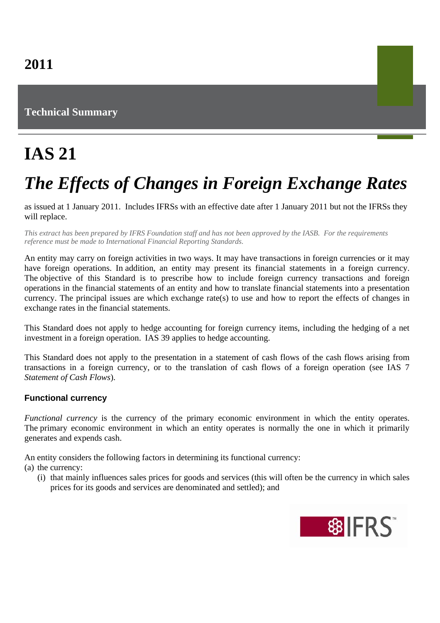### **Technical Summary**

## **IAS 21**

# *The Effects of Changes in Foreign Exchange Rates*

as issued at 1 January 2011. Includes IFRSs with an effective date after 1 January 2011 but not the IFRSs they will replace.

*This extract has been prepared by IFRS Foundation staff and has not been approved by the IASB. For the requirements reference must be made to International Financial Reporting Standards.*

An entity may carry on foreign activities in two ways. It may have transactions in foreign currencies or it may have foreign operations. In addition, an entity may present its financial statements in a foreign currency. The objective of this Standard is to prescribe how to include foreign currency transactions and foreign operations in the financial statements of an entity and how to translate financial statements into a presentation currency. The principal issues are which exchange rate(s) to use and how to report the effects of changes in exchange rates in the financial statements.

This Standard does not apply to hedge accounting for foreign currency items, including the hedging of a net investment in a foreign operation. IAS 39 applies to hedge accounting.

This Standard does not apply to the presentation in a statement of cash flows of the cash flows arising from transactions in a foreign currency, or to the translation of cash flows of a foreign operation (see IAS 7 *Statement of Cash Flows*).

#### **Functional currency**

*Functional currency* is the currency of the primary economic environment in which the entity operates. The primary economic environment in which an entity operates is normally the one in which it primarily generates and expends cash.

An entity considers the following factors in determining its functional currency:

(a) the currency:

(i) that mainly influences sales prices for goods and services (this will often be the currency in which sales prices for its goods and services are denominated and settled); and

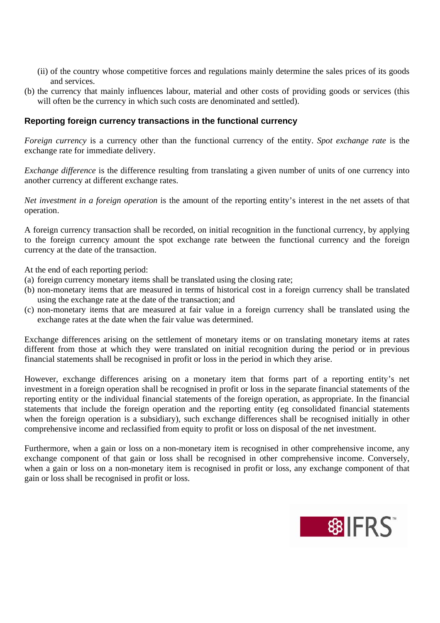- (ii) of the country whose competitive forces and regulations mainly determine the sales prices of its goods and services.
- (b) the currency that mainly influences labour, material and other costs of providing goods or services (this will often be the currency in which such costs are denominated and settled).

#### **Reporting foreign currency transactions in the functional currency**

*Foreign currency* is a currency other than the functional currency of the entity. *Spot exchange rate* is the exchange rate for immediate delivery.

*Exchange difference* is the difference resulting from translating a given number of units of one currency into another currency at different exchange rates.

*Net investment in a foreign operation* is the amount of the reporting entity's interest in the net assets of that operation.

A foreign currency transaction shall be recorded, on initial recognition in the functional currency, by applying to the foreign currency amount the spot exchange rate between the functional currency and the foreign currency at the date of the transaction.

At the end of each reporting period:

- (a) foreign currency monetary items shall be translated using the closing rate;
- (b) non-monetary items that are measured in terms of historical cost in a foreign currency shall be translated using the exchange rate at the date of the transaction; and
- (c) non-monetary items that are measured at fair value in a foreign currency shall be translated using the exchange rates at the date when the fair value was determined.

Exchange differences arising on the settlement of monetary items or on translating monetary items at rates different from those at which they were translated on initial recognition during the period or in previous financial statements shall be recognised in profit or loss in the period in which they arise.

However, exchange differences arising on a monetary item that forms part of a reporting entity's net investment in a foreign operation shall be recognised in profit or loss in the separate financial statements of the reporting entity or the individual financial statements of the foreign operation, as appropriate. In the financial statements that include the foreign operation and the reporting entity (eg consolidated financial statements when the foreign operation is a subsidiary), such exchange differences shall be recognised initially in other comprehensive income and reclassified from equity to profit or loss on disposal of the net investment.

Furthermore, when a gain or loss on a non-monetary item is recognised in other comprehensive income, any exchange component of that gain or loss shall be recognised in other comprehensive income. Conversely, when a gain or loss on a non-monetary item is recognised in profit or loss, any exchange component of that gain or loss shall be recognised in profit or loss.

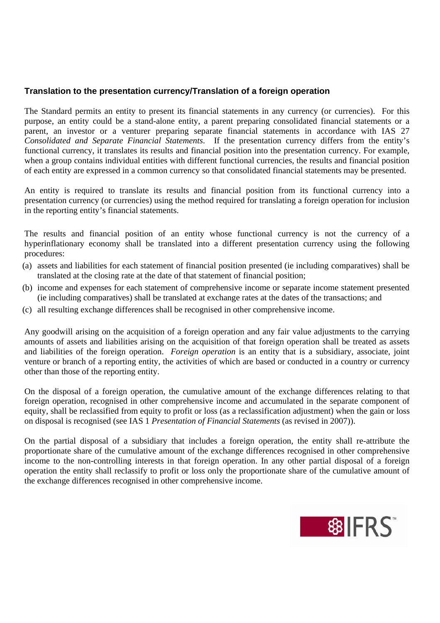#### **Translation to the presentation currency/Translation of a foreign operation**

The Standard permits an entity to present its financial statements in any currency (or currencies). For this purpose, an entity could be a stand-alone entity, a parent preparing consolidated financial statements or a parent, an investor or a venturer preparing separate financial statements in accordance with IAS 27 *Consolidated and Separate Financial Statements*. If the presentation currency differs from the entity's functional currency, it translates its results and financial position into the presentation currency. For example, when a group contains individual entities with different functional currencies, the results and financial position of each entity are expressed in a common currency so that consolidated financial statements may be presented.

An entity is required to translate its results and financial position from its functional currency into a presentation currency (or currencies) using the method required for translating a foreign operation for inclusion in the reporting entity's financial statements.

The results and financial position of an entity whose functional currency is not the currency of a hyperinflationary economy shall be translated into a different presentation currency using the following procedures:

- (a) assets and liabilities for each statement of financial position presented (ie including comparatives) shall be translated at the closing rate at the date of that statement of financial position;
- (b) income and expenses for each statement of comprehensive income or separate income statement presented (ie including comparatives) shall be translated at exchange rates at the dates of the transactions; and
- (c) all resulting exchange differences shall be recognised in other comprehensive income.

Any goodwill arising on the acquisition of a foreign operation and any fair value adjustments to the carrying amounts of assets and liabilities arising on the acquisition of that foreign operation shall be treated as assets and liabilities of the foreign operation. *Foreign operation* is an entity that is a subsidiary, associate, joint venture or branch of a reporting entity, the activities of which are based or conducted in a country or currency other than those of the reporting entity.

On the disposal of a foreign operation, the cumulative amount of the exchange differences relating to that foreign operation, recognised in other comprehensive income and accumulated in the separate component of equity, shall be reclassified from equity to profit or loss (as a reclassification adjustment) when the gain or loss on disposal is recognised (see IAS 1 *Presentation of Financial Statements* (as revised in 2007)).

On the partial disposal of a subsidiary that includes a foreign operation, the entity shall re-attribute the proportionate share of the cumulative amount of the exchange differences recognised in other comprehensive income to the non-controlling interests in that foreign operation. In any other partial disposal of a foreign operation the entity shall reclassify to profit or loss only the proportionate share of the cumulative amount of the exchange differences recognised in other comprehensive income.